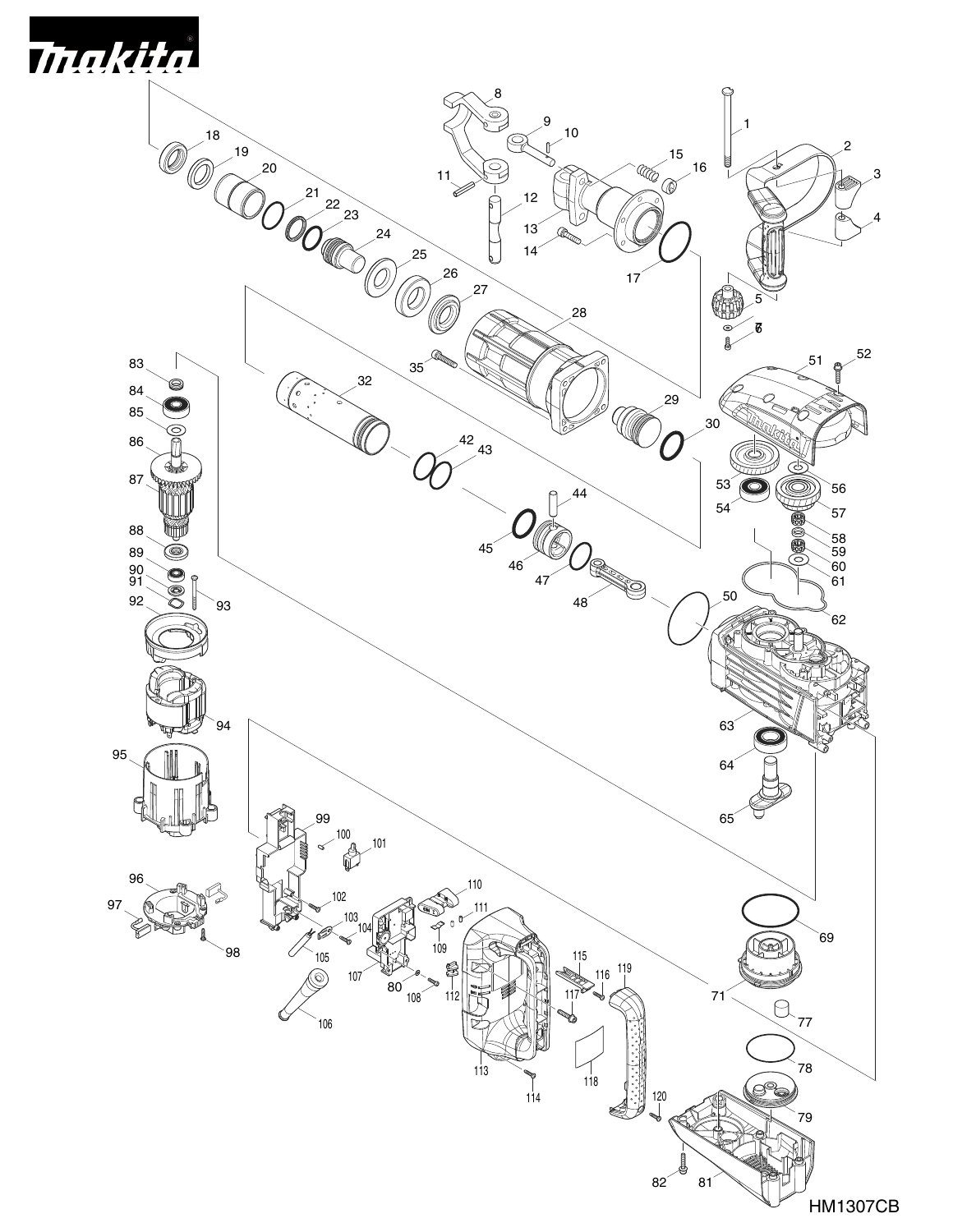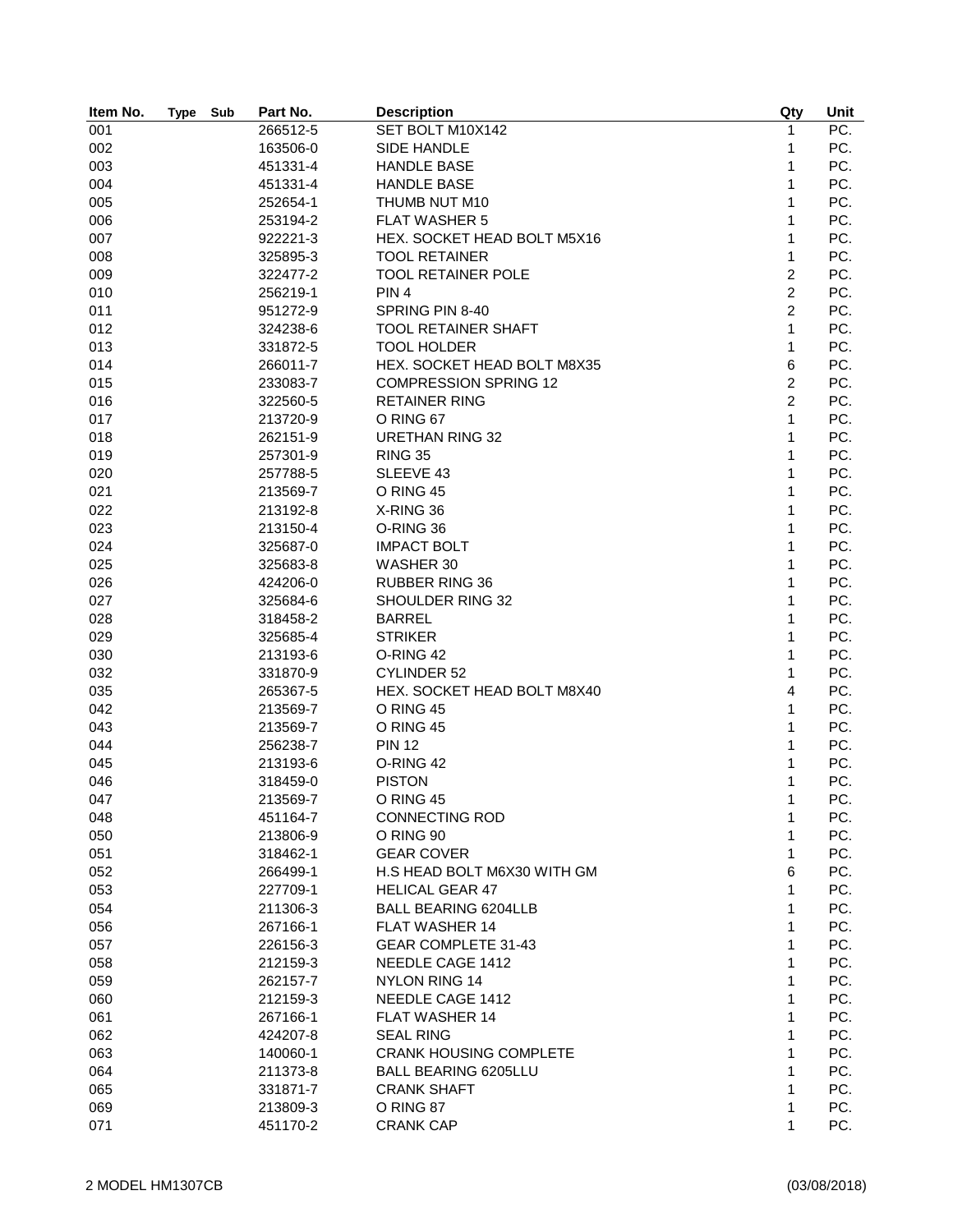| Item No. | <b>Type</b> | Sub | Part No. | <b>Description</b>            | Qty            | Unit |
|----------|-------------|-----|----------|-------------------------------|----------------|------|
| 001      |             |     | 266512-5 | SET BOLT M10X142              | $\mathbf{1}$   | PC.  |
| 002      |             |     | 163506-0 | SIDE HANDLE                   | 1              | PC.  |
| 003      |             |     | 451331-4 | <b>HANDLE BASE</b>            | $\mathbf{1}$   | PC.  |
| 004      |             |     | 451331-4 | <b>HANDLE BASE</b>            | 1              | PC.  |
| 005      |             |     | 252654-1 | THUMB NUT M10                 | 1              | PC.  |
| 006      |             |     | 253194-2 | <b>FLAT WASHER 5</b>          | 1              | PC.  |
| 007      |             |     | 922221-3 | HEX. SOCKET HEAD BOLT M5X16   | 1              | PC.  |
| 008      |             |     | 325895-3 | <b>TOOL RETAINER</b>          | $\mathbf{1}$   | PC.  |
| 009      |             |     | 322477-2 | <b>TOOL RETAINER POLE</b>     | $\overline{c}$ | PC.  |
| 010      |             |     | 256219-1 | PIN <sub>4</sub>              | $\overline{c}$ | PC.  |
| 011      |             |     | 951272-9 | SPRING PIN 8-40               | $\overline{2}$ | PC.  |
| 012      |             |     | 324238-6 | <b>TOOL RETAINER SHAFT</b>    | $\mathbf{1}$   | PC.  |
| 013      |             |     | 331872-5 | <b>TOOL HOLDER</b>            | 1              | PC.  |
| 014      |             |     | 266011-7 | HEX. SOCKET HEAD BOLT M8X35   | 6              | PC.  |
| 015      |             |     | 233083-7 | <b>COMPRESSION SPRING 12</b>  | $\overline{c}$ | PC.  |
| 016      |             |     | 322560-5 | <b>RETAINER RING</b>          | $\overline{c}$ | PC.  |
| 017      |             |     | 213720-9 | O RING 67                     | 1              | PC.  |
| 018      |             |     | 262151-9 | <b>URETHAN RING 32</b>        | 1              | PC.  |
| 019      |             |     | 257301-9 | <b>RING 35</b>                | 1              | PC.  |
|          |             |     | 257788-5 |                               |                | PC.  |
| 020      |             |     |          | SLEEVE 43                     | 1              |      |
| 021      |             |     | 213569-7 | O RING 45                     | 1              | PC.  |
| 022      |             |     | 213192-8 | X-RING 36                     | 1              | PC.  |
| 023      |             |     | 213150-4 | O-RING 36                     | 1              | PC.  |
| 024      |             |     | 325687-0 | <b>IMPACT BOLT</b>            | 1              | PC.  |
| 025      |             |     | 325683-8 | WASHER 30                     | 1              | PC.  |
| 026      |             |     | 424206-0 | <b>RUBBER RING 36</b>         | 1              | PC.  |
| 027      |             |     | 325684-6 | SHOULDER RING 32              | $\mathbf{1}$   | PC.  |
| 028      |             |     | 318458-2 | <b>BARREL</b>                 | 1              | PC.  |
| 029      |             |     | 325685-4 | <b>STRIKER</b>                | 1              | PC.  |
| 030      |             |     | 213193-6 | O-RING 42                     | 1              | PC.  |
| 032      |             |     | 331870-9 | CYLINDER 52                   | 1              | PC.  |
| 035      |             |     | 265367-5 | HEX. SOCKET HEAD BOLT M8X40   | 4              | PC.  |
| 042      |             |     | 213569-7 | O RING 45                     | $\mathbf{1}$   | PC.  |
| 043      |             |     | 213569-7 | O RING 45                     | 1              | PC.  |
| 044      |             |     | 256238-7 | <b>PIN 12</b>                 | 1              | PC.  |
| 045      |             |     | 213193-6 | O-RING 42                     | 1              | PC.  |
| 046      |             |     | 318459-0 | <b>PISTON</b>                 | 1              | PC.  |
| 047      |             |     | 213569-7 | O RING 45                     | 1              | PC.  |
| 048      |             |     | 451164-7 | <b>CONNECTING ROD</b>         | 1              | PC.  |
| 050      |             |     | 213806-9 | O RING 90                     | 1              | PC.  |
| 051      |             |     | 318462-1 | <b>GEAR COVER</b>             | 1              | PC.  |
| 052      |             |     | 266499-1 | H.S HEAD BOLT M6X30 WITH GM   | 6              | PC.  |
| 053      |             |     | 227709-1 | <b>HELICAL GEAR 47</b>        | 1              | PC.  |
| 054      |             |     | 211306-3 | <b>BALL BEARING 6204LLB</b>   | 1              | PC.  |
| 056      |             |     | 267166-1 | FLAT WASHER 14                | 1              | PC.  |
| 057      |             |     | 226156-3 | GEAR COMPLETE 31-43           | 1              | PC.  |
| 058      |             |     | 212159-3 | NEEDLE CAGE 1412              | 1              | PC.  |
| 059      |             |     | 262157-7 | NYLON RING 14                 | 1              | PC.  |
| 060      |             |     | 212159-3 | NEEDLE CAGE 1412              | 1              | PC.  |
| 061      |             |     | 267166-1 | FLAT WASHER 14                | 1              | PC.  |
| 062      |             |     | 424207-8 | <b>SEAL RING</b>              | 1              | PC.  |
| 063      |             |     | 140060-1 | <b>CRANK HOUSING COMPLETE</b> | 1              | PC.  |
| 064      |             |     | 211373-8 | <b>BALL BEARING 6205LLU</b>   | 1              | PC.  |
|          |             |     |          |                               | 1              | PC.  |
| 065      |             |     | 331871-7 | <b>CRANK SHAFT</b>            |                | PC.  |
| 069      |             |     | 213809-3 | O RING 87                     | 1              |      |
| 071      |             |     | 451170-2 | <b>CRANK CAP</b>              | 1              | PC.  |